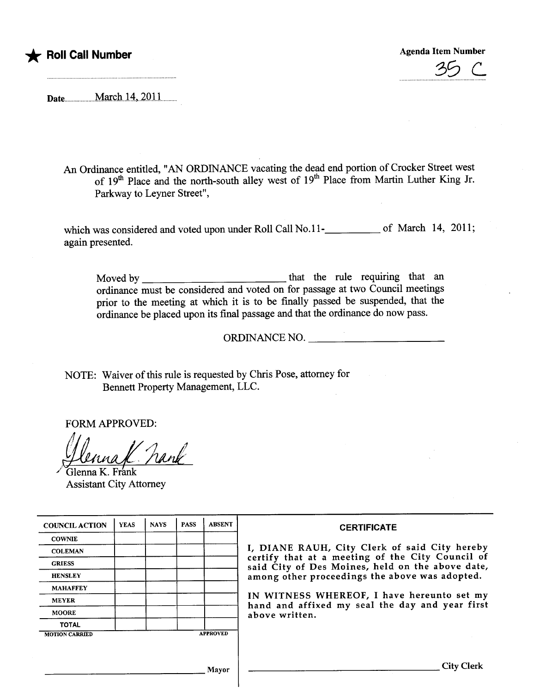## \* Roll Call Number Agenda Item Number Agenda Item Number



Date......................Març.h.14.,...2Q1L....

An Ordinance entitled, "AN ORDINANCE vacating the dead end portion of Crocker Street west of  $19<sup>th</sup>$  Place and the north-south alley west of  $19<sup>th</sup>$  Place from Martin Luther King Jr. Parkway to Leyner Street",

which was considered and voted upon under Roll Call No.11-<br>
<u>Conservance</u> of March 14, 2011; again presented.

Moved by  $\frac{1}{\sqrt{2\pi}}$  that the rule requiring that an ordinance must be considered and voted on for passage at two Council meetings prior to the meeting at which it is to be finally passed be suspended, that the ordinance be placed upon its final passage and that the ordinance do now pass.

ORDINANCE NO.

NOTE: Waiver of this rule is requested by Chris Pose, attorney for Bennett Property Management, LLC.

FORM APPROVED:

Juna / hank<br>Glenna K. Frank<br>Assistant City Attorney

| <b>COUNCIL ACTION</b> | <b>YEAS</b> | <b>NAYS</b> | <b>PASS</b> | <b>ABSENT</b>   | <b>CERTIFICATE</b>                                                                                                                                                                                                                                                                                                         |
|-----------------------|-------------|-------------|-------------|-----------------|----------------------------------------------------------------------------------------------------------------------------------------------------------------------------------------------------------------------------------------------------------------------------------------------------------------------------|
| <b>COWNIE</b>         |             |             |             |                 | I, DIANE RAUH, City Clerk of said City hereby<br>certify that at a meeting of the City Council of<br>said City of Des Moines, held on the above date,<br>among other proceedings the above was adopted.<br>IN WITNESS WHEREOF, I have hereunto set my<br>hand and affixed my seal the day and year first<br>above written. |
| <b>COLEMAN</b>        |             |             |             |                 |                                                                                                                                                                                                                                                                                                                            |
| <b>GRIESS</b>         |             |             |             |                 |                                                                                                                                                                                                                                                                                                                            |
| <b>HENSLEY</b>        |             |             |             |                 |                                                                                                                                                                                                                                                                                                                            |
| <b>MAHAFFEY</b>       |             |             |             |                 |                                                                                                                                                                                                                                                                                                                            |
| <b>MEYER</b>          |             |             |             |                 |                                                                                                                                                                                                                                                                                                                            |
| <b>MOORE</b>          |             |             |             |                 |                                                                                                                                                                                                                                                                                                                            |
| <b>TOTAL</b>          |             |             |             |                 |                                                                                                                                                                                                                                                                                                                            |
| <b>MOTION CARRIED</b> |             |             |             | <b>APPROVED</b> |                                                                                                                                                                                                                                                                                                                            |
|                       |             |             |             |                 |                                                                                                                                                                                                                                                                                                                            |
|                       |             |             |             | Mayor           | <b>City Clerk</b>                                                                                                                                                                                                                                                                                                          |